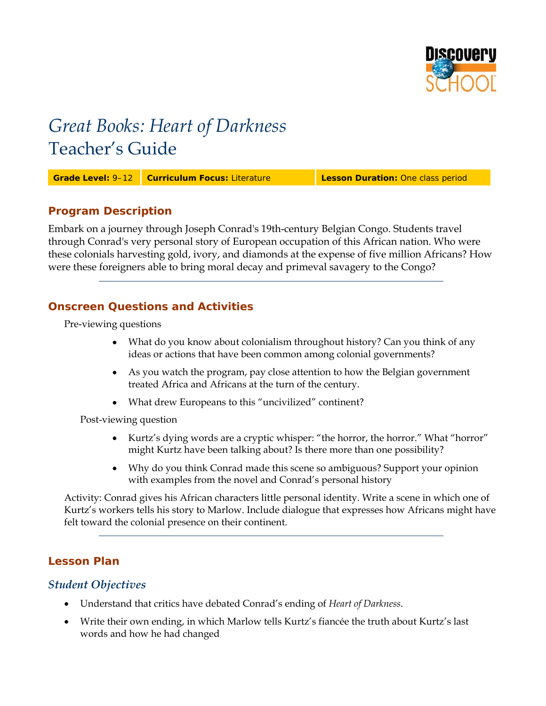

# *Great Books: Heart of Darkness*  Teacher's Guide

**Grade Level:** 9–12 **Curriculum Focus:** Literature **Lesson Duration:** One class period

## **Program Description**

Embark on a journey through Joseph Conrad's 19th-century Belgian Congo. Students travel through Conrad's very personal story of European occupation of this African nation. Who were these colonials harvesting gold, ivory, and diamonds at the expense of five million Africans? How were these foreigners able to bring moral decay and primeval savagery to the Congo?

## **Onscreen Questions and Activities**

Pre-viewing questions

- What do you know about colonialism throughout history? Can you think of any ideas or actions that have been common among colonial governments?
- As you watch the program, pay close attention to how the Belgian government treated Africa and Africans at the turn of the century.
- What drew Europeans to this "uncivilized" continent?

Post-viewing question

- Kurtz's dying words are a cryptic whisper: "the horror, the horror." What "horror" might Kurtz have been talking about? Is there more than one possibility?
- Why do you think Conrad made this scene so ambiguous? Support your opinion with examples from the novel and Conrad's personal history

Activity: Conrad gives his African characters little personal identity. Write a scene in which one of Kurtz's workers tells his story to Marlow. Include dialogue that expresses how Africans might have felt toward the colonial presence on their continent.

## **Lesson Plan**

## *Student Objectives*

- Understand that critics have debated Conrad's ending of *Heart of Darkness*.
- Write their own ending, in which Marlow tells Kurtz's fiancée the truth about Kurtz's last words and how he had changed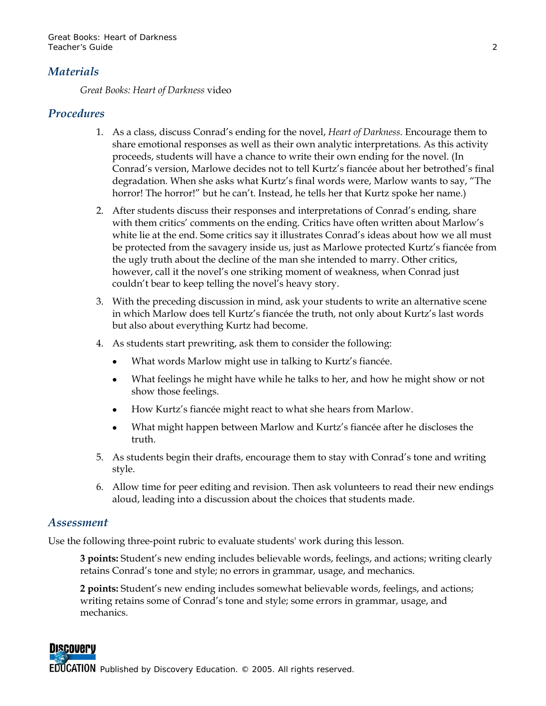## *Materials*

*Great Books: Heart of Darkness* video

## *Procedures*

- 1. As a class, discuss Conrad's ending for the novel, *Heart of Darkness*. Encourage them to share emotional responses as well as their own analytic interpretations. As this activity proceeds, students will have a chance to write their own ending for the novel. (In Conrad's version, Marlowe decides not to tell Kurtz's fiancée about her betrothed's final degradation. When she asks what Kurtz's final words were, Marlow wants to say, "The horror! The horror!" but he can't. Instead, he tells her that Kurtz spoke her name.)
- 2. After students discuss their responses and interpretations of Conrad's ending, share with them critics' comments on the ending. Critics have often written about Marlow's white lie at the end. Some critics say it illustrates Conrad's ideas about how we all must be protected from the savagery inside us, just as Marlowe protected Kurtz's fiancée from the ugly truth about the decline of the man she intended to marry. Other critics, however, call it the novel's one striking moment of weakness, when Conrad just couldn't bear to keep telling the novel's heavy story.
- 3. With the preceding discussion in mind, ask your students to write an alternative scene in which Marlow does tell Kurtz's fiancée the truth, not only about Kurtz's last words but also about everything Kurtz had become.
- 4. As students start prewriting, ask them to consider the following:
	- What words Marlow might use in talking to Kurtz's fiancée.
	- What feelings he might have while he talks to her, and how he might show or not show those feelings.
	- How Kurtz's fiancée might react to what she hears from Marlow.
	- What might happen between Marlow and Kurtz's fiancée after he discloses the truth.
- 5. As students begin their drafts, encourage them to stay with Conrad's tone and writing style.
- 6. Allow time for peer editing and revision. Then ask volunteers to read their new endings aloud, leading into a discussion about the choices that students made.

#### *Assessment*

Use the following three-point rubric to evaluate students' work during this lesson.

**3 points:** Student's new ending includes believable words, feelings, and actions; writing clearly retains Conrad's tone and style; no errors in grammar, usage, and mechanics.

**2 points:** Student's new ending includes somewhat believable words, feelings, and actions; writing retains some of Conrad's tone and style; some errors in grammar, usage, and mechanics.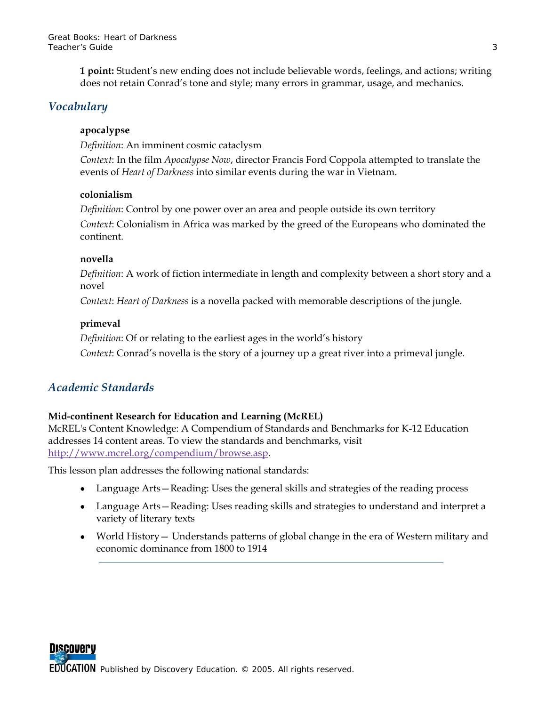**1 point:** Student's new ending does not include believable words, feelings, and actions; writing does not retain Conrad's tone and style; many errors in grammar, usage, and mechanics.

## *Vocabulary*

#### **apocalypse**

*Definition*: An imminent cosmic cataclysm

*Context*: In the film *Apocalypse Now*, director Francis Ford Coppola attempted to translate the events of *Heart of Darkness* into similar events during the war in Vietnam.

#### **colonialism**

*Definition*: Control by one power over an area and people outside its own territory *Context*: Colonialism in Africa was marked by the greed of the Europeans who dominated the continent.

#### **novella**

*Definition*: A work of fiction intermediate in length and complexity between a short story and a novel

*Context*: *Heart of Darkness* is a novella packed with memorable descriptions of the jungle.

#### **primeval**

*Definition*: Of or relating to the earliest ages in the world's history *Context*: Conrad's novella is the story of a journey up a great river into a primeval jungle.

## *Academic Standards*

#### **Mid-continent Research for Education and Learning (McREL)**

McREL's Content Knowledge: A Compendium of Standards and Benchmarks for K-12 Education addresses 14 content areas. To view the standards and benchmarks, visit [http://www.mcrel.org/compendium/browse.asp.](http://www.mcrel.org/compendium/browse.asp)

This lesson plan addresses the following national standards:

- Language Arts—Reading: Uses the general skills and strategies of the reading process
- Language Arts-Reading: Uses reading skills and strategies to understand and interpret a variety of literary texts
- World History Understands patterns of global change in the era of Western military and economic dominance from 1800 to 1914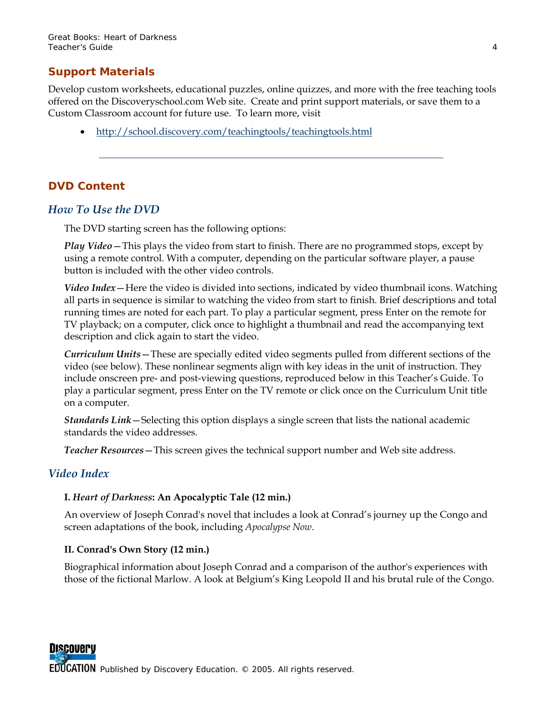## **Support Materials**

Develop custom worksheets, educational puzzles, online quizzes, and more with the free teaching tools offered on the Discoveryschool.com Web site. Create and print support materials, or save them to a Custom Classroom account for future use. To learn more, visit

• <http://school.discovery.com/teachingtools/teachingtools.html>

## **DVD Content**

#### *How To Use the DVD*

The DVD starting screen has the following options:

*Play Video*—This plays the video from start to finish. There are no programmed stops, except by using a remote control. With a computer, depending on the particular software player, a pause button is included with the other video controls.

*Video Index*—Here the video is divided into sections, indicated by video thumbnail icons. Watching all parts in sequence is similar to watching the video from start to finish. Brief descriptions and total running times are noted for each part. To play a particular segment, press Enter on the remote for TV playback; on a computer, click once to highlight a thumbnail and read the accompanying text description and click again to start the video.

*Curriculum Units*—These are specially edited video segments pulled from different sections of the video (see below). These nonlinear segments align with key ideas in the unit of instruction. They include onscreen pre- and post-viewing questions, reproduced below in this Teacher's Guide. To play a particular segment, press Enter on the TV remote or click once on the Curriculum Unit title on a computer.

*Standards Link*—Selecting this option displays a single screen that lists the national academic standards the video addresses.

*Teacher Resources*—This screen gives the technical support number and Web site address.

## *Video Index*

#### **I.** *Heart of Darkness***: An Apocalyptic Tale (12 min.)**

An overview of Joseph Conrad's novel that includes a look at Conrad's journey up the Congo and screen adaptations of the book, including *Apocalypse Now*.

#### **II. Conrad's Own Story (12 min.)**

Biographical information about Joseph Conrad and a comparison of the author's experiences with those of the fictional Marlow. A look at Belgium's King Leopold II and his brutal rule of the Congo.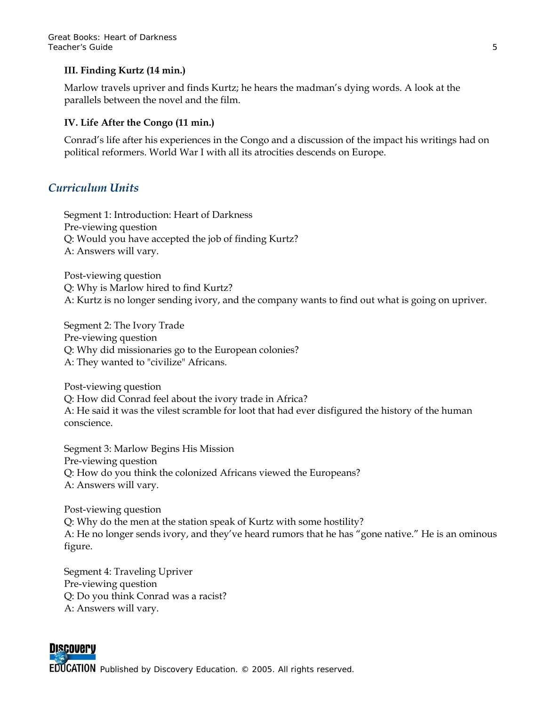#### **III. Finding Kurtz (14 min.)**

Marlow travels upriver and finds Kurtz; he hears the madman's dying words. A look at the parallels between the novel and the film.

#### **IV. Life After the Congo (11 min.)**

Conrad's life after his experiences in the Congo and a discussion of the impact his writings had on political reformers. World War I with all its atrocities descends on Europe.

## *Curriculum Units*

Segment 1: Introduction: Heart of Darkness Pre-viewing question Q: Would you have accepted the job of finding Kurtz? A: Answers will vary.

Post-viewing question Q: Why is Marlow hired to find Kurtz? A: Kurtz is no longer sending ivory, and the company wants to find out what is going on upriver.

Segment 2: The Ivory Trade Pre-viewing question Q: Why did missionaries go to the European colonies? A: They wanted to "civilize" Africans.

Post-viewing question Q: How did Conrad feel about the ivory trade in Africa? A: He said it was the vilest scramble for loot that had ever disfigured the history of the human conscience.

Segment 3: Marlow Begins His Mission Pre-viewing question Q: How do you think the colonized Africans viewed the Europeans? A: Answers will vary.

Post-viewing question Q: Why do the men at the station speak of Kurtz with some hostility? A: He no longer sends ivory, and they've heard rumors that he has "gone native." He is an ominous figure.

Segment 4: Traveling Upriver Pre-viewing question Q: Do you think Conrad was a racist? A: Answers will vary.